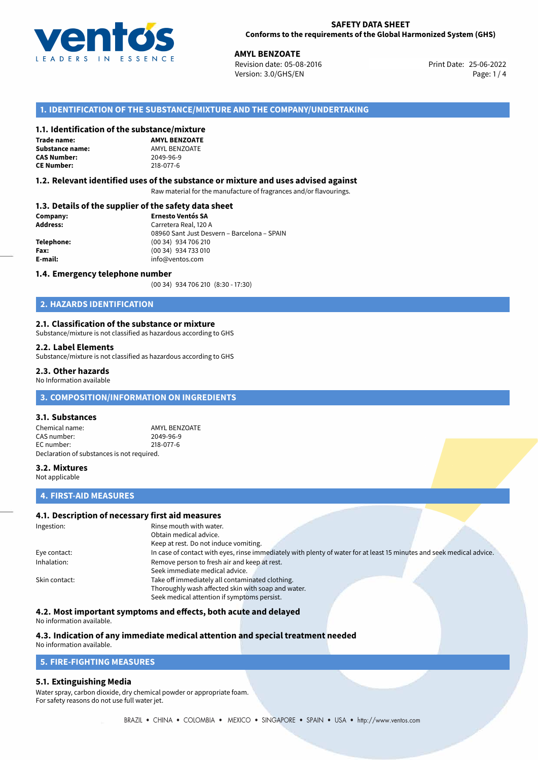

**AMYL BENZOATE**<br>
Revision date: 05-08-2016 **American Contract Print Date: 25-06-2022** Version: 3.0/GHS/EN Page: 1 / 4

# **1. IDENTIFICATION OF THE SUBSTANCE/MIXTURE AND THE COMPANY/UNDERTAKING**

# **1.1. Identification of the substance/mixture**

#### **Trade name: Substance name:** AMYL BENZOATE<br> **CAS Number:** 2049-96-9 **CAS Number: CE Number:** 218-077-6

**AMYL BENZOATE**

#### **1.2. Relevant identified uses of the substance or mixture and uses advised against**

Raw material for the manufacture of fragrances and/or flavourings.

## **1.3. Details of the supplier of the safety data sheet**

| Company:        | <b>Ernesto Ventós SA</b>                    |  |
|-----------------|---------------------------------------------|--|
| <b>Address:</b> | Carretera Real, 120 A                       |  |
|                 | 08960 Sant Just Desvern - Barcelona - SPAIN |  |
| Telephone:      | (00 34) 934 706 210                         |  |
| Fax:            | (00 34) 934 733 010                         |  |
| E-mail:         | info@ventos.com                             |  |
|                 |                                             |  |

#### **1.4. Emergency telephone number**

(00 34) 934 706 210 (8:30 - 17:30)

# **2. HAZARDS IDENTIFICATION**

## **2.1. Classification of the substance or mixture**

Substance/mixture is not classified as hazardous according to GHS

#### **2.2. Label Elements**

Substance/mixture is not classified as hazardous according to GHS

#### **2.3. Other hazards**

No Information available

# **3. COMPOSITION/INFORMATION ON INGREDIENTS**

## **3.1. Substances**

Chemical name: AMYL BENZOATE<br>
CAS number: 2049-96-9 CAS number: EC number: 218-077-6 Declaration of substances is not required.

## **3.2. Mixtures**

Not applicable

# **4. FIRST-AID MEASURES**

# **4.1. Description of necessary first aid measures**

| Ingestion:    | Rinse mouth with water.                                                                                               |  |  |
|---------------|-----------------------------------------------------------------------------------------------------------------------|--|--|
|               | Obtain medical advice.                                                                                                |  |  |
|               | Keep at rest. Do not induce vomiting.                                                                                 |  |  |
| Eye contact:  | In case of contact with eyes, rinse immediately with plenty of water for at least 15 minutes and seek medical advice. |  |  |
| Inhalation:   | Remove person to fresh air and keep at rest.                                                                          |  |  |
|               | Seek immediate medical advice.                                                                                        |  |  |
| Skin contact: | Take off immediately all contaminated clothing.                                                                       |  |  |
|               | Thoroughly wash affected skin with soap and water.                                                                    |  |  |
|               | Seek medical attention if symptoms persist.                                                                           |  |  |

## **4.2. Most important symptoms and effects, both acute and delayed**

No information available.

# **4.3. Indication of any immediate medical attention and special treatment needed**

# No information available.

# **5. FIRE-FIGHTING MEASURES**

## **5.1. Extinguishing Media**

Water spray, carbon dioxide, dry chemical powder or appropriate foam. For safety reasons do not use full water jet.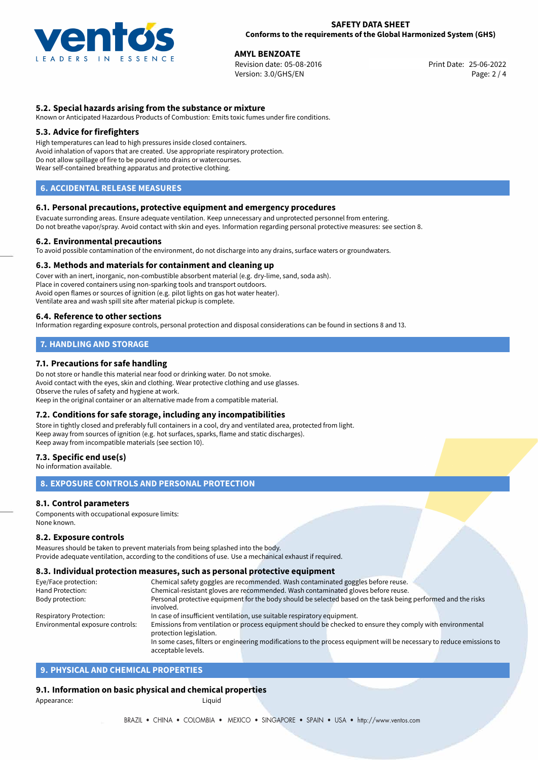

**AMYL BENZOATE**<br>
Revision date: 05-08-2016<br> **Print Date: 25-06-2022** Revision date: 05-08-2016 Version: 3.0/GHS/EN Page: 2 / 4

# **5.2. Special hazards arising from the substance or mixture**

Known or Anticipated Hazardous Products of Combustion: Emits toxic fumes under fire conditions.

## **5.3. Advice for firefighters**

High temperatures can lead to high pressures inside closed containers. Avoid inhalation of vapors that are created. Use appropriate respiratory protection. Do not allow spillage of fire to be poured into drains or watercourses. Wear self-contained breathing apparatus and protective clothing.

# **6. ACCIDENTAL RELEASE MEASURES**

#### **6.1. Personal precautions, protective equipment and emergency procedures**

Evacuate surronding areas. Ensure adequate ventilation. Keep unnecessary and unprotected personnel from entering. Do not breathe vapor/spray. Avoid contact with skin and eyes. Information regarding personal protective measures: see section 8.

#### **6.2. Environmental precautions**

To avoid possible contamination of the environment, do not discharge into any drains, surface waters or groundwaters.

#### **6.3. Methods and materials for containment and cleaning up**

Cover with an inert, inorganic, non-combustible absorbent material (e.g. dry-lime, sand, soda ash). Place in covered containers using non-sparking tools and transport outdoors. Avoid open flames or sources of ignition (e.g. pilot lights on gas hot water heater). Ventilate area and wash spill site after material pickup is complete.

#### **6.4. Reference to other sections**

Information regarding exposure controls, personal protection and disposal considerations can be found in sections 8 and 13.

# **7. HANDLING AND STORAGE**

## **7.1. Precautions for safe handling**

Do not store or handle this material near food or drinking water. Do not smoke. Avoid contact with the eyes, skin and clothing. Wear protective clothing and use glasses. Observe the rules of safety and hygiene at work. Keep in the original container or an alternative made from a compatible material.

## **7.2. Conditions for safe storage, including any incompatibilities**

Store in tightly closed and preferably full containers in a cool, dry and ventilated area, protected from light. Keep away from sources of ignition (e.g. hot surfaces, sparks, flame and static discharges). Keep away from incompatible materials (see section 10).

## **7.3. Specific end use(s)**

No information available.

# **8. EXPOSURE CONTROLS AND PERSONAL PROTECTION**

## **8.1. Control parameters**

Components with occupational exposure limits: None known.

#### **8.2. Exposure controls**

Measures should be taken to prevent materials from being splashed into the body. Provide adequate ventilation, according to the conditions of use. Use a mechanical exhaust if required.

#### **8.3. Individual protection measures, such as personal protective equipment**

acceptable levels.

| Eye/Face protection:             | Chemical safety goggles are recommended. Wash contaminated goggles before reuse.                                      |  |  |  |  |
|----------------------------------|-----------------------------------------------------------------------------------------------------------------------|--|--|--|--|
| Hand Protection:                 | Chemical-resistant gloves are recommended. Wash contaminated gloves before reuse.                                     |  |  |  |  |
| Body protection:                 | Personal protective equipment for the body should be selected based on the task being performed and the risks         |  |  |  |  |
|                                  | involved.                                                                                                             |  |  |  |  |
| <b>Respiratory Protection:</b>   | In case of insufficient ventilation, use suitable respiratory equipment.                                              |  |  |  |  |
| Environmental exposure controls: | Emissions from ventilation or process equipment should be checked to ensure they comply with environmental            |  |  |  |  |
|                                  | protection legislation.                                                                                               |  |  |  |  |
|                                  | In some cases, filters or engineering modifications to the process equipment will be necessary to reduce emissions to |  |  |  |  |
|                                  |                                                                                                                       |  |  |  |  |

# **9. PHYSICAL AND CHEMICAL PROPERTIES**

## **9.1. Information on basic physical and chemical properties**

Appearance: Liquid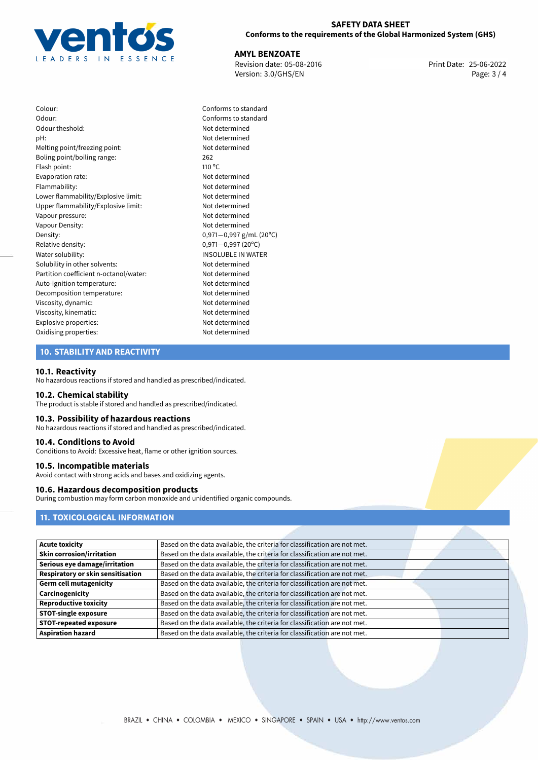

**AMYL BENZOATE**<br>
Revision date: 05-08-2016 **Print Date: 25-06-2022** Version: 3.0/GHS/EN Page: 3 / 4

Colour: Conforms to standard Odour: Conforms to standard Odour theshold: Not determined pH: Not determined Melting point/freezing point: Not determined Boling point/boiling range: 262 Flash point: 110 °C Evaporation rate: Not determined Flammability: Not determined Lower flammability/Explosive limit: Not determined Upper flammability/Explosive limit: Not determined Vapour pressure: Not determined Vapour Density: Not determined Density: 0,971−0,997 g/mL (20°C)<br>Relative density: 0,971−0,997 (20°C) Relative density: 0,971−0,997 (20°C)<br>Water solubility: 0,971−0,997 (20°C) Solubility in other solvents: Not determined Partition coefficient n-octanol/water: Not determined Auto-ignition temperature: Not determined Decomposition temperature: Not determined Viscosity, dynamic: Not determined Viscosity, kinematic: Not determined Explosive properties: Not determined Oxidising properties: Not determined

**INSOLUBLE IN WATER** 

## **10. STABILITY AND REACTIVITY**

#### **10.1. Reactivity**

No hazardous reactions if stored and handled as prescribed/indicated.

#### **10.2. Chemical stability**

The product is stable if stored and handled as prescribed/indicated.

#### **10.3. Possibility of hazardous reactions**

No hazardous reactions if stored and handled as prescribed/indicated.

#### **10.4. Conditions to Avoid**

Conditions to Avoid: Excessive heat, flame or other ignition sources.

#### **10.5. Incompatible materials**

Avoid contact with strong acids and bases and oxidizing agents.

## **10.6. Hazardous decomposition products**

During combustion may form carbon monoxide and unidentified organic compounds.

# **11. TOXICOLOGICAL INFORMATION**

| <b>Acute toxicity</b>             | Based on the data available, the criteria for classification are not met. |
|-----------------------------------|---------------------------------------------------------------------------|
| <b>Skin corrosion/irritation</b>  | Based on the data available, the criteria for classification are not met. |
| Serious eye damage/irritation     | Based on the data available, the criteria for classification are not met. |
| Respiratory or skin sensitisation | Based on the data available, the criteria for classification are not met. |
| <b>Germ cell mutagenicity</b>     | Based on the data available, the criteria for classification are not met. |
| Carcinogenicity                   | Based on the data available, the criteria for classification are not met. |
| <b>Reproductive toxicity</b>      | Based on the data available, the criteria for classification are not met. |
| <b>STOT-single exposure</b>       | Based on the data available, the criteria for classification are not met. |
| <b>STOT-repeated exposure</b>     | Based on the data available, the criteria for classification are not met. |
| <b>Aspiration hazard</b>          | Based on the data available, the criteria for classification are not met. |
|                                   |                                                                           |